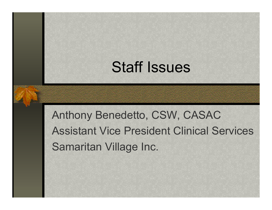# Staff Issues

Anthony Benedetto, CSW, CASAC Assistant Vice President Clinical ServicesSamaritan Village Inc.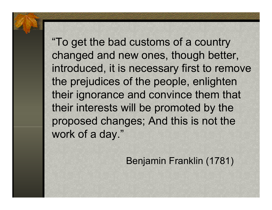"To get the bad customs of a country changed and new ones, though better, introduced, it is necessary first to remove the prejudices of the people, enlighten their ignorance and convince them that their interests will be promoted by the proposed changes; And this is not the work of a day."

#### Benjamin Franklin (1781)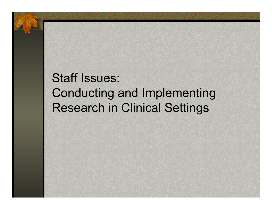## Staff Issues: Conducting and Implementing Research in Clinical Settings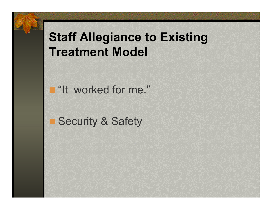## **Staff Allegiance to Existing Treatment Model**

"It worked for me."

Security & Safety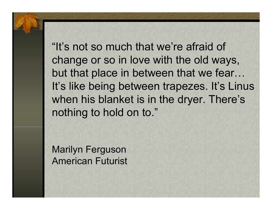"It's not so much that we're afraid of change or so in love with the old ways, but that place in between that we fear… It's like being between trapezes. It's Linus when his blanket is in the dryer. There's nothing to hold on to."

Marilyn Ferguson American Futurist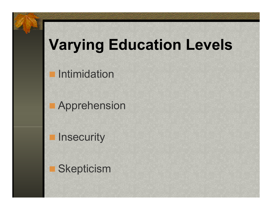# **Varying Education Levels**

Intimidation

Apprehension

**n** Insecurity

**Skepticism**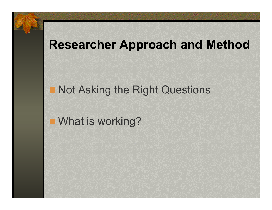### **Researcher Approach and Method**

### Not Asking the Right Questions

### **NHAT IS working?**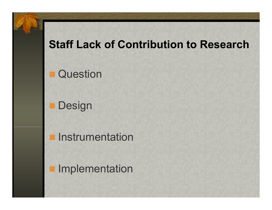#### **Staff Lack of Contribution to Research**

**Question** 

Design

Instrumentation

Implementation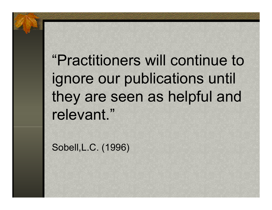"Practitioners will continue to ignore our publications until they are seen as helpful and relevant."

Sobell,L.C. (1996)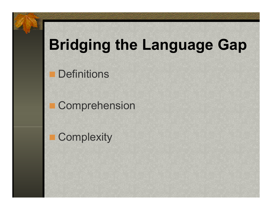# **Bridging the Language Gap**

**Definitions** 

Comprehension

**Complexity**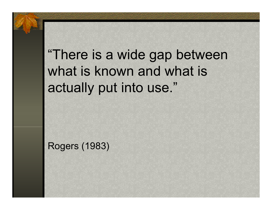## "There is a wide gap between what is known and what is actually put into use."

Rogers (1983)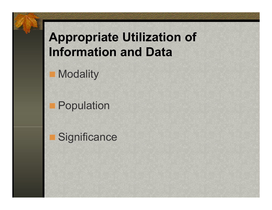## **Appropriate Utilization of Information and Data**

**Modality** 

Population

**Significance**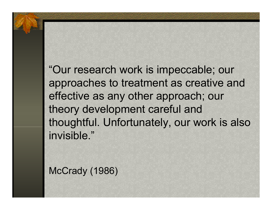"Our research work is impeccable; our approaches to treatment as creative and effective as any other approach; our theory development careful and thoughtful. Unfortunately, our work is also invisible."

McCrady (1986)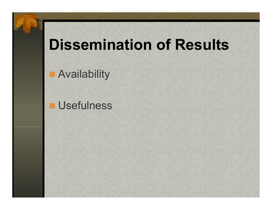# **Dissemination of Results**

**R** Availability

Usefulness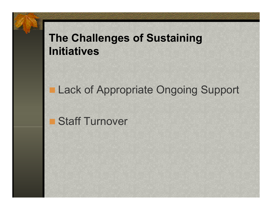### **The Challenges of Sustaining Initiatives**

Lack of Appropriate Ongoing Support

Staff Turnover